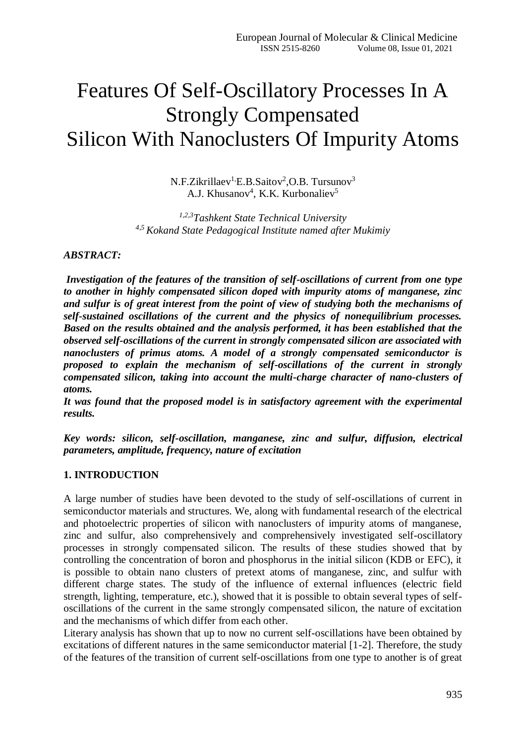# Features Of Self-Oscillatory Processes In A Strongly Compensated Silicon With Nanoclusters Of Impurity Atoms

N.F.Zikrillaev<sup>1,</sup>E.B.Saitov<sup>2</sup>,O.B. Tursunov<sup>3</sup> A.J. Khusanov<sup>4</sup>, K.K. Kurbonaliev<sup>5</sup>

*1,2,3Tashkent State Technical University 4,5 Kokand State Pedagogical Institute named after Mukimiy*

### *ABSTRACT:*

*Investigation of the features of the transition of self-oscillations of current from one type to another in highly compensated silicon doped with impurity atoms of manganese, zinc and sulfur is of great interest from the point of view of studying both the mechanisms of self-sustained oscillations of the current and the physics of nonequilibrium processes. Based on the results obtained and the analysis performed, it has been established that the observed self-oscillations of the current in strongly compensated silicon are associated with nanoclusters of primus atoms. A model of a strongly compensated semiconductor is proposed to explain the mechanism of self-oscillations of the current in strongly compensated silicon, taking into account the multi-charge character of nano-clusters of atoms.*

*It was found that the proposed model is in satisfactory agreement with the experimental results.*

*Key words: silicon, self-oscillation, manganese, zinc and sulfur, diffusion, electrical parameters, amplitude, frequency, nature of excitation*

### **1. INTRODUCTION**

A large number of studies have been devoted to the study of self-oscillations of current in semiconductor materials and structures. We, along with fundamental research of the electrical and photoelectric properties of silicon with nanoclusters of impurity atoms of manganese, zinc and sulfur, also comprehensively and comprehensively investigated self-oscillatory processes in strongly compensated silicon. The results of these studies showed that by controlling the concentration of boron and phosphorus in the initial silicon (KDB or EFC), it is possible to obtain nano clusters of pretext atoms of manganese, zinc, and sulfur with different charge states. The study of the influence of external influences (electric field strength, lighting, temperature, etc.), showed that it is possible to obtain several types of selfoscillations of the current in the same strongly compensated silicon, the nature of excitation and the mechanisms of which differ from each other.

Literary analysis has shown that up to now no current self-oscillations have been obtained by excitations of different natures in the same semiconductor material [1-2]. Therefore, the study of the features of the transition of current self-oscillations from one type to another is of great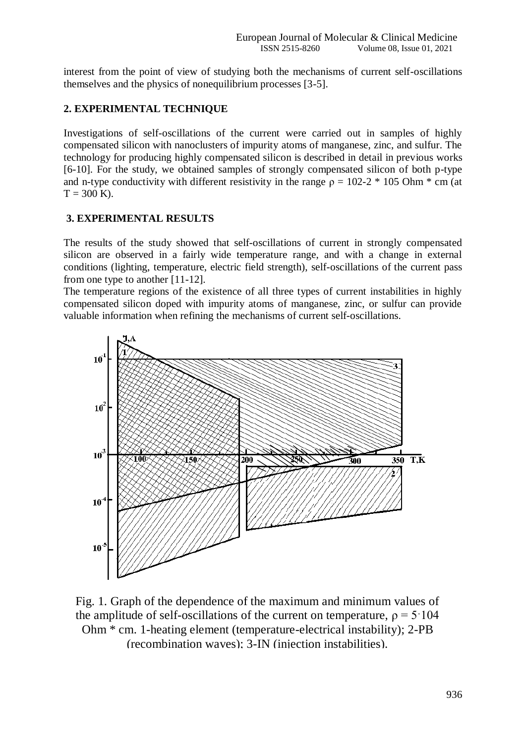interest from the point of view of studying both the mechanisms of current self-oscillations themselves and the physics of nonequilibrium processes [3-5].

# **2. EXPERIMENTAL TECHNIQUE**

Investigations of self-oscillations of the current were carried out in samples of highly compensated silicon with nanoclusters of impurity atoms of manganese, zinc, and sulfur. The technology for producing highly compensated silicon is described in detail in previous works [6-10]. For the study, we obtained samples of strongly compensated silicon of both p-type and n-type conductivity with different resistivity in the range  $\rho = 102-2 * 105$  Ohm  $*$  cm (at  $T = 300$  K).

## **3. EXPERIMENTAL RESULTS**

The results of the study showed that self-oscillations of current in strongly compensated silicon are observed in a fairly wide temperature range, and with a change in external conditions (lighting, temperature, electric field strength), self-oscillations of the current pass from one type to another [11-12].

The temperature regions of the existence of all three types of current instabilities in highly compensated silicon doped with impurity atoms of manganese, zinc, or sulfur can provide valuable information when refining the mechanisms of current self-oscillations.



Fig. 1. Graph of the dependence of the maximum and minimum values of the amplitude of self-oscillations of the current on temperature,  $\rho = 5.104$ Ohm \* cm. 1-heating element (temperature-electrical instability); 2-PB (recombination waves); 3-IN (injection instabilities).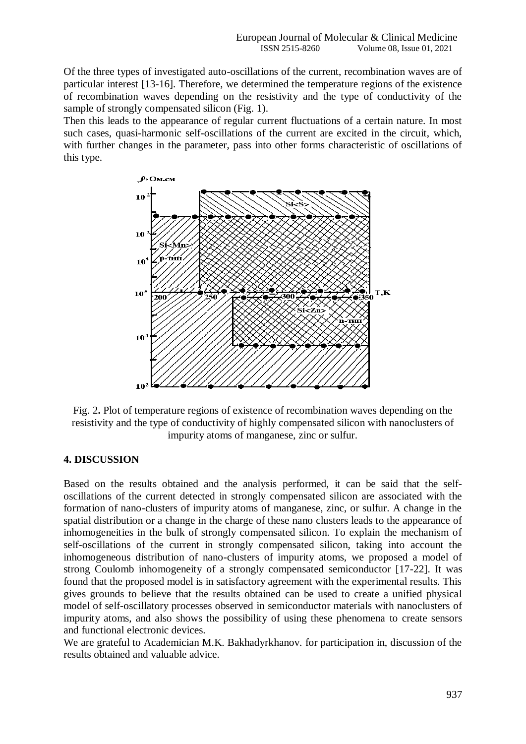Of the three types of investigated auto-oscillations of the current, recombination waves are of particular interest [13-16]. Therefore, we determined the temperature regions of the existence of recombination waves depending on the resistivity and the type of conductivity of the sample of strongly compensated silicon (Fig. 1).

Then this leads to the appearance of regular current fluctuations of a certain nature. In most such cases, quasi-harmonic self-oscillations of the current are excited in the circuit, which, with further changes in the parameter, pass into other forms characteristic of oscillations of this type.



Fig. 2**.** Plot of temperature regions of existence of recombination waves depending on the resistivity and the type of conductivity of highly compensated silicon with nanoclusters of impurity atoms of manganese, zinc or sulfur.

# **4. DISCUSSION**

Based on the results obtained and the analysis performed, it can be said that the selfoscillations of the current detected in strongly compensated silicon are associated with the formation of nano-clusters of impurity atoms of manganese, zinc, or sulfur. A change in the spatial distribution or a change in the charge of these nano clusters leads to the appearance of inhomogeneities in the bulk of strongly compensated silicon. To explain the mechanism of self-oscillations of the current in strongly compensated silicon, taking into account the inhomogeneous distribution of nano-clusters of impurity atoms, we proposed a model of strong Coulomb inhomogeneity of a strongly compensated semiconductor [17-22]. It was found that the proposed model is in satisfactory agreement with the experimental results. This gives grounds to believe that the results obtained can be used to create a unified physical model of self-oscillatory processes observed in semiconductor materials with nanoclusters of impurity atoms, and also shows the possibility of using these phenomena to create sensors and functional electronic devices.

We are grateful to Academician M.K. Bakhadyrkhanov. for participation in, discussion of the results obtained and valuable advice.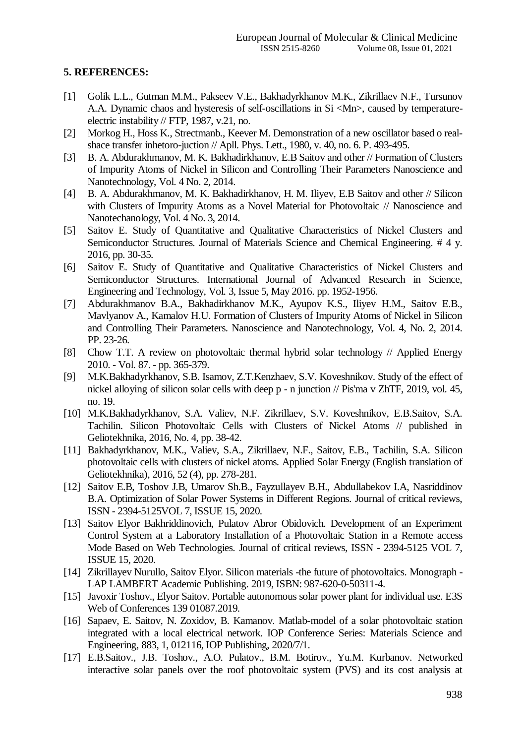# **5. REFERENCES:**

- [1] Golik L.L., Gutman M.M., Pakseev V.E., Bakhadyrkhanov M.K., Zikrillaev N.F., Tursunov A.A. Dynamic chaos and hysteresis of self-oscillations in Si <Mn>, caused by temperatureelectric instability // FTP, 1987, v.21, no.
- [2] Morkog H., Hoss K., Strectmanb., Keever M. Demonstration of a new oscillator based o realshace transfer inhetoro-juction // Apll. Phys. Lett., 1980, v. 40, no. 6. P. 493-495.
- [3] B. A. Abdurakhmanov, M. K. Bakhadirkhanov, E.B Saitov and other // Formation of Clusters of Impurity Atoms of Nickel in Silicon and Controlling Their Parameters Nanoscience and Nanotechnology, Vol. 4 No. 2, 2014.
- [4] B. A. Abdurakhmanov, M. K. Bakhadirkhanov, H. M. Iliyev, E.B Saitov and other // Silicon with Clusters of Impurity Atoms as a Novel Material for Photovoltaic // Nanoscience and Nanotechanology, Vol. 4 No. 3, 2014.
- [5] Saitov E. Study of Quantitative and Qualitative Characteristics of Nickel Clusters and Semiconductor Structures. Journal of Materials Science and Chemical Engineering. # 4 y. 2016, pp. 30-35.
- [6] Saitov E. Study of Quantitative and Qualitative Characteristics of Nickel Clusters and Semiconductor Structures. International Journal of Advanced Research in Science, Engineering and Technology, Vol. 3, Issue 5, May 2016. pp. 1952-1956.
- [7] Abdurakhmanov B.A., Bakhadirkhanov M.K., Ayupov K.S., Iliyev H.M., Saitov E.B., Mavlyanov A., Kamalov H.U. Formation of Clusters of Impurity Atoms of Nickel in Silicon and Controlling Their Parameters. Nanoscience and Nanotechnology, Vol. 4, No. 2, 2014. PP. 23-26.
- [8] Chow T.T. A review on photovoltaic thermal hybrid solar technology // Applied Energy 2010. - Vol. 87. - pp. 365-379.
- [9] M.K.Bakhadyrkhanov, S.B. Isamov, Z.T.Kenzhaev, S.V. Koveshnikov. Study of the effect of nickel alloying of silicon solar cells with deep p - n junction // Pis'ma v ZhTF, 2019, vol. 45, no. 19.
- [10] M.K.Bakhadyrkhanov, S.A. Valiev, N.F. Zikrillaev, S.V. Koveshnikov, E.B.Saitov, S.A. Tachilin. Silicon Photovoltaic Cells with Clusters of Nickel Atoms // published in Geliotekhnika, 2016, No. 4, pp. 38-42.
- [11] Bakhadyrkhanov, M.K., Valiev, S.A., Zikrillaev, N.F., Saitov, E.B., Tachilin, S.A. Silicon photovoltaic cells with clusters of nickel atoms. Applied Solar Energy (English translation of Geliotekhnika), 2016, 52 (4), pp. 278-281.
- [12] Saitov E.B, Toshov J.B, Umarov Sh.B., Fayzullayev B.H., Abdullabekov I.A, Nasriddinov B.A. Optimization of Solar Power Systems in Different Regions. Journal of critical reviews, ISSN - 2394-5125VOL 7, ISSUE 15, 2020.
- [13] Saitov Elyor Bakhriddinovich, Pulatov Abror Obidovich. Development of an Experiment Control System at a Laboratory Installation of a Photovoltaic Station in a Remote access Mode Based on Web Technologies. Journal of critical reviews, ISSN - 2394-5125 VOL 7, ISSUE 15, 2020.
- [14] Zikrillayev Nurullo, Saitov Elyor. Silicon materials -the future of photovoltaics. Monograph LAP LAMBERT Academic Publishing. 2019, ISBN: 987-620-0-50311-4.
- [15] Javoxir Toshov., Elyor Saitov. Portable autonomous solar power plant for individual use. E3S Web of Conferences 139 01087.2019.
- [16] Sapaev, E. Saitov, N. Zoxidov, B. Kamanov. Matlab-model of a solar photovoltaic station integrated with a local electrical network. IOP Conference Series: Materials Science and Engineering, 883, 1, 012116, IOP Publishing, 2020/7/1.
- [17] E.B.Saitov., J.B. Toshov., A.O. Pulatov., B.M. Botirov., Yu.M. Kurbanov. Networked interactive solar panels over the roof photovoltaic system (PVS) and its cost analysis at